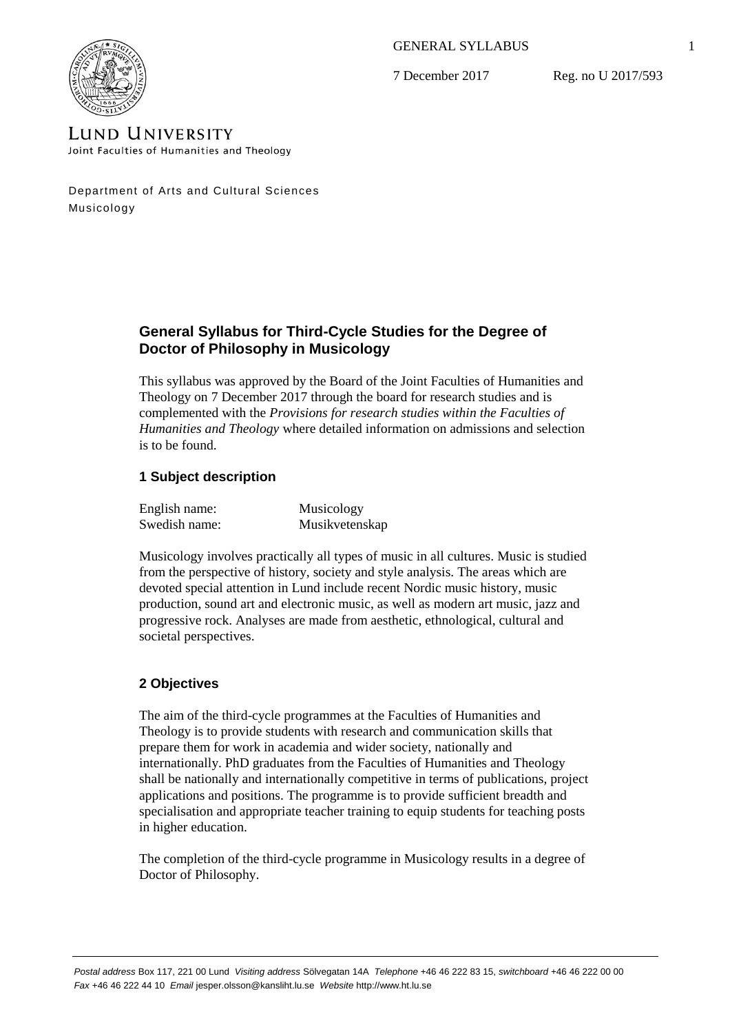GENERAL SYLLABUS

7 December 2017

Reg. no U 2017/593



**LUND UNIVERSITY** Joint Faculties of Humanities and Theology

Department of Arts and Cultural Sciences Musicology

# **General Syllabus for Third-Cycle Studies for the Degree of Doctor of Philosophy in Musicology**

This syllabus was approved by the Board of the Joint Faculties of Humanities and Theology on 7 December 2017 through the board for research studies and is complemented with the *Provisions for research studies within the Faculties of Humanities and Theology* where detailed information on admissions and selection is to be found.

# **1 Subject description**

| English name: | Musicology     |
|---------------|----------------|
| Swedish name: | Musikvetenskap |

Musicology involves practically all types of music in all cultures. Music is studied from the perspective of history, society and style analysis. The areas which are devoted special attention in Lund include recent Nordic music history, music production, sound art and electronic music, as well as modern art music, jazz and progressive rock. Analyses are made from aesthetic, ethnological, cultural and societal perspectives.

# **2 Objectives**

The aim of the third-cycle programmes at the Faculties of Humanities and Theology is to provide students with research and communication skills that prepare them for work in academia and wider society, nationally and internationally. PhD graduates from the Faculties of Humanities and Theology shall be nationally and internationally competitive in terms of publications, project applications and positions. The programme is to provide sufficient breadth and specialisation and appropriate teacher training to equip students for teaching posts in higher education.

The completion of the third-cycle programme in Musicology results in a degree of Doctor of Philosophy.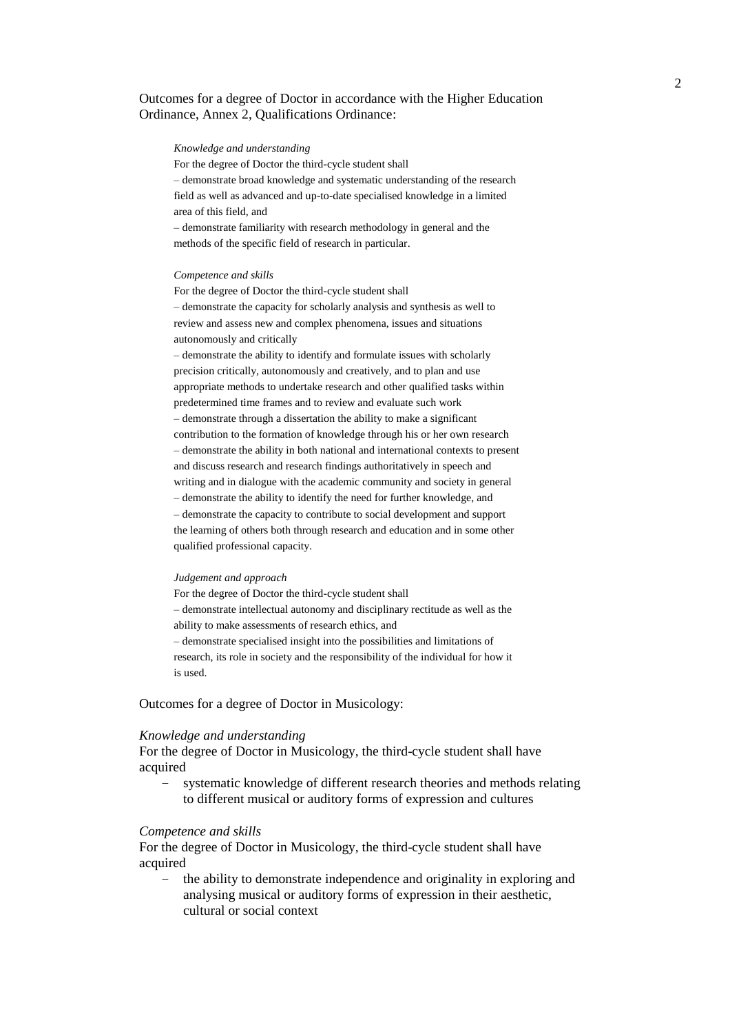## Outcomes for a degree of Doctor in accordance with the Higher Education Ordinance, Annex 2, Qualifications Ordinance:

#### *Knowledge and understanding*

For the degree of Doctor the third-cycle student shall – demonstrate broad knowledge and systematic understanding of the research field as well as advanced and up-to-date specialised knowledge in a limited area of this field, and

– demonstrate familiarity with research methodology in general and the methods of the specific field of research in particular.

#### *Competence and skills*

For the degree of Doctor the third-cycle student shall – demonstrate the capacity for scholarly analysis and synthesis as well to review and assess new and complex phenomena, issues and situations autonomously and critically

– demonstrate the ability to identify and formulate issues with scholarly precision critically, autonomously and creatively, and to plan and use appropriate methods to undertake research and other qualified tasks within predetermined time frames and to review and evaluate such work – demonstrate through a dissertation the ability to make a significant contribution to the formation of knowledge through his or her own research – demonstrate the ability in both national and international contexts to present and discuss research and research findings authoritatively in speech and writing and in dialogue with the academic community and society in general – demonstrate the ability to identify the need for further knowledge, and – demonstrate the capacity to contribute to social development and support the learning of others both through research and education and in some other qualified professional capacity.

#### *Judgement and approach*

For the degree of Doctor the third-cycle student shall – demonstrate intellectual autonomy and disciplinary rectitude as well as the ability to make assessments of research ethics, and – demonstrate specialised insight into the possibilities and limitations of research, its role in society and the responsibility of the individual for how it is used.

Outcomes for a degree of Doctor in Musicology:

#### *Knowledge and understanding*

For the degree of Doctor in Musicology, the third-cycle student shall have acquired

systematic knowledge of different research theories and methods relating to different musical or auditory forms of expression and cultures

#### *Competence and skills*

For the degree of Doctor in Musicology, the third-cycle student shall have acquired

– the ability to demonstrate independence and originality in exploring and analysing musical or auditory forms of expression in their aesthetic, cultural or social context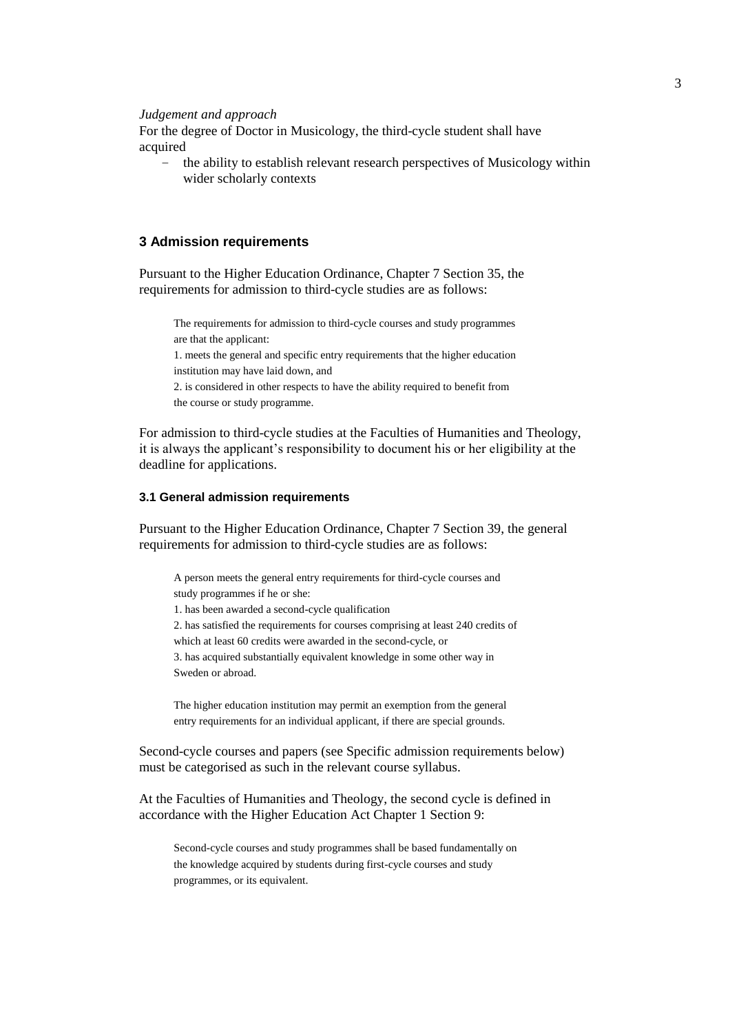#### *Judgement and approach*

For the degree of Doctor in Musicology, the third-cycle student shall have acquired

– the ability to establish relevant research perspectives of Musicology within wider scholarly contexts

## **3 Admission requirements**

Pursuant to the Higher Education Ordinance, Chapter 7 Section 35, the requirements for admission to third-cycle studies are as follows:

The requirements for admission to third-cycle courses and study programmes are that the applicant: 1. meets the general and specific entry requirements that the higher education institution may have laid down, and 2. is considered in other respects to have the ability required to benefit from the course or study programme.

For admission to third-cycle studies at the Faculties of Humanities and Theology, it is always the applicant's responsibility to document his or her eligibility at the deadline for applications.

### **3.1 General admission requirements**

Pursuant to the Higher Education Ordinance, Chapter 7 Section 39, the general requirements for admission to third-cycle studies are as follows:

A person meets the general entry requirements for third-cycle courses and study programmes if he or she: 1. has been awarded a second-cycle qualification 2. has satisfied the requirements for courses comprising at least 240 credits of which at least 60 credits were awarded in the second-cycle, or 3. has acquired substantially equivalent knowledge in some other way in Sweden or abroad.

The higher education institution may permit an exemption from the general entry requirements for an individual applicant, if there are special grounds.

Second-cycle courses and papers (see Specific admission requirements below) must be categorised as such in the relevant course syllabus.

At the Faculties of Humanities and Theology, the second cycle is defined in accordance with the Higher Education Act Chapter 1 Section 9:

Second-cycle courses and study programmes shall be based fundamentally on the knowledge acquired by students during first-cycle courses and study programmes, or its equivalent.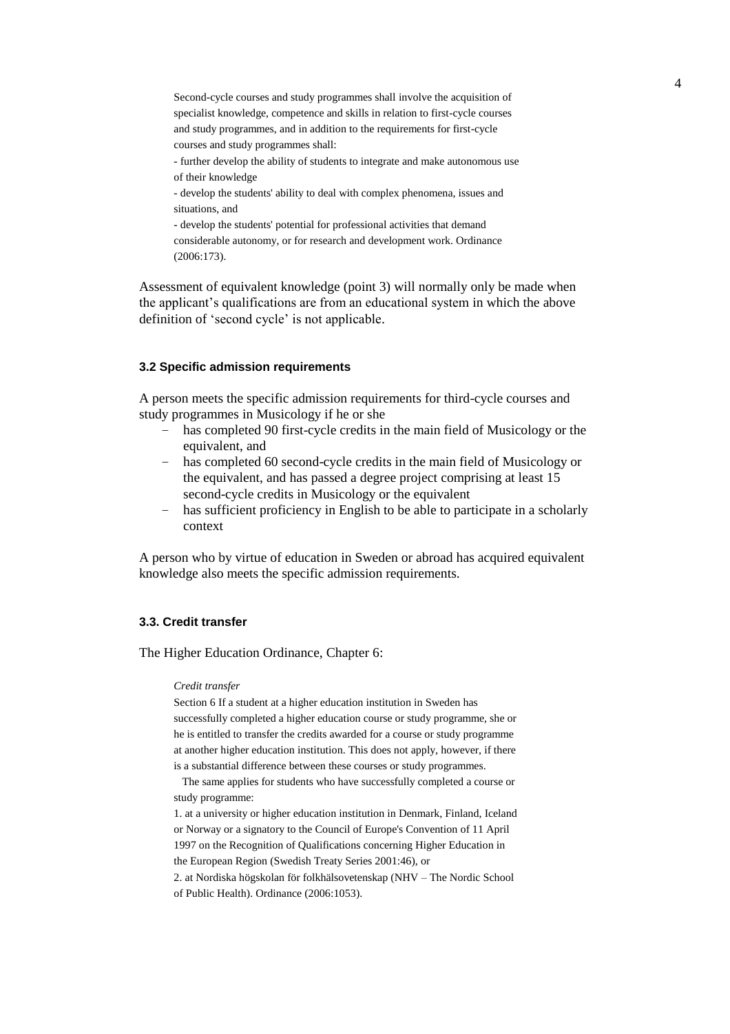Second-cycle courses and study programmes shall involve the acquisition of specialist knowledge, competence and skills in relation to first-cycle courses and study programmes, and in addition to the requirements for first-cycle courses and study programmes shall:

- further develop the ability of students to integrate and make autonomous use of their knowledge

- develop the students' ability to deal with complex phenomena, issues and situations, and

- develop the students' potential for professional activities that demand considerable autonomy, or for research and development work. Ordinance (2006:173).

Assessment of equivalent knowledge (point 3) will normally only be made when the applicant's qualifications are from an educational system in which the above definition of 'second cycle' is not applicable.

### **3.2 Specific admission requirements**

A person meets the specific admission requirements for third-cycle courses and study programmes in Musicology if he or she

- has completed 90 first-cycle credits in the main field of Musicology or the equivalent, and
- has completed 60 second-cycle credits in the main field of Musicology or the equivalent, and has passed a degree project comprising at least 15 second-cycle credits in Musicology or the equivalent
- has sufficient proficiency in English to be able to participate in a scholarly context

A person who by virtue of education in Sweden or abroad has acquired equivalent knowledge also meets the specific admission requirements.

#### **3.3. Credit transfer**

The Higher Education Ordinance, Chapter 6:

#### *Credit transfer*

Section 6 If a student at a higher education institution in Sweden has successfully completed a higher education course or study programme, she or he is entitled to transfer the credits awarded for a course or study programme at another higher education institution. This does not apply, however, if there is a substantial difference between these courses or study programmes.

 The same applies for students who have successfully completed a course or study programme:

1. at a university or higher education institution in Denmark, Finland, Iceland or Norway or a signatory to the Council of Europe's Convention of 11 April 1997 on the Recognition of Qualifications concerning Higher Education in the European Region (Swedish Treaty Series 2001:46), or

2. at Nordiska högskolan för folkhälsovetenskap (NHV – The Nordic School of Public Health). Ordinance (2006:1053).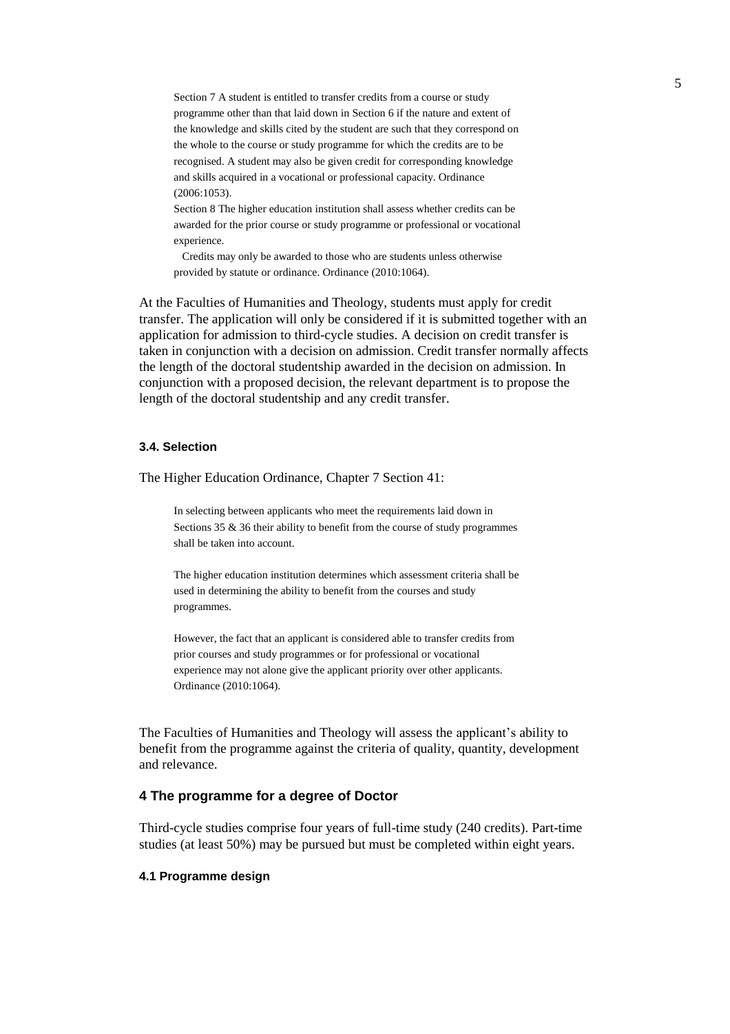Section 7 A student is entitled to transfer credits from a course or study programme other than that laid down in Section 6 if the nature and extent of the knowledge and skills cited by the student are such that they correspond on the whole to the course or study programme for which the credits are to be recognised. A student may also be given credit for corresponding knowledge and skills acquired in a vocational or professional capacity. Ordinance (2006:1053).

Section 8 The higher education institution shall assess whether credits can be awarded for the prior course or study programme or professional or vocational experience.

 Credits may only be awarded to those who are students unless otherwise provided by statute or ordinance. Ordinance (2010:1064).

At the Faculties of Humanities and Theology, students must apply for credit transfer. The application will only be considered if it is submitted together with an application for admission to third-cycle studies. A decision on credit transfer is taken in conjunction with a decision on admission. Credit transfer normally affects the length of the doctoral studentship awarded in the decision on admission. In conjunction with a proposed decision, the relevant department is to propose the length of the doctoral studentship and any credit transfer.

### **3.4. Selection**

The Higher Education Ordinance, Chapter 7 Section 41:

In selecting between applicants who meet the requirements laid down in Sections 35 & 36 their ability to benefit from the course of study programmes shall be taken into account.

The higher education institution determines which assessment criteria shall be used in determining the ability to benefit from the courses and study programmes.

However, the fact that an applicant is considered able to transfer credits from prior courses and study programmes or for professional or vocational experience may not alone give the applicant priority over other applicants. Ordinance (2010:1064).

The Faculties of Humanities and Theology will assess the applicant's ability to benefit from the programme against the criteria of quality, quantity, development and relevance.

## **4 The programme for a degree of Doctor**

Third-cycle studies comprise four years of full-time study (240 credits). Part-time studies (at least 50%) may be pursued but must be completed within eight years.

### **4.1 Programme design**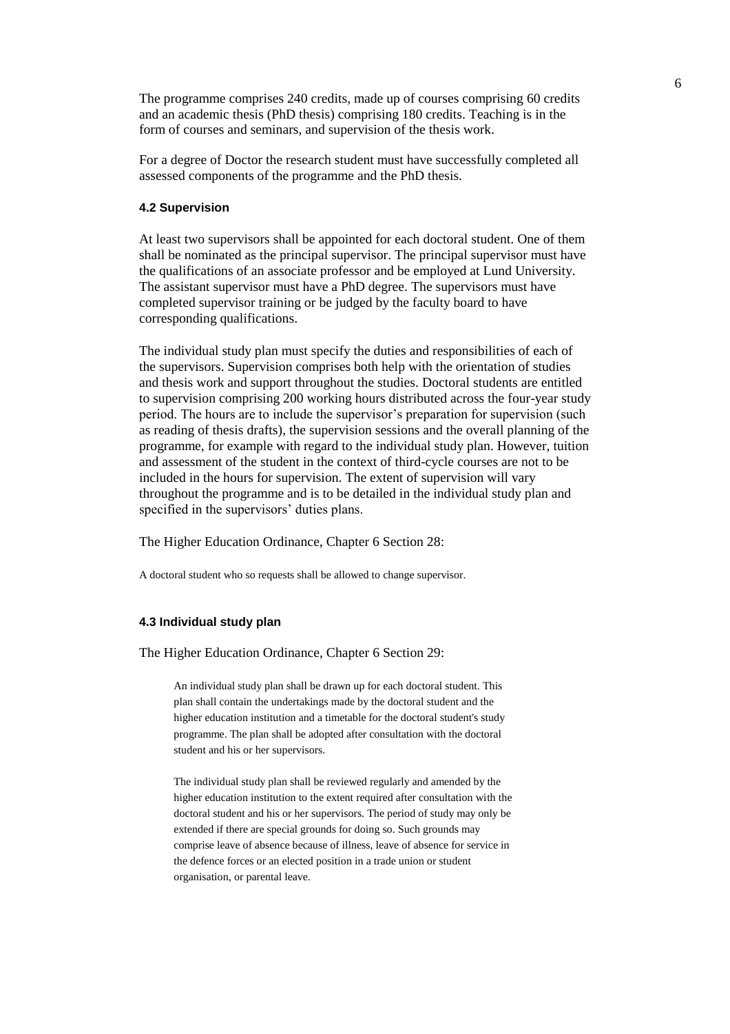The programme comprises 240 credits, made up of courses comprising 60 credits and an academic thesis (PhD thesis) comprising 180 credits. Teaching is in the form of courses and seminars, and supervision of the thesis work.

For a degree of Doctor the research student must have successfully completed all assessed components of the programme and the PhD thesis.

### **4.2 Supervision**

At least two supervisors shall be appointed for each doctoral student. One of them shall be nominated as the principal supervisor. The principal supervisor must have the qualifications of an associate professor and be employed at Lund University. The assistant supervisor must have a PhD degree. The supervisors must have completed supervisor training or be judged by the faculty board to have corresponding qualifications.

The individual study plan must specify the duties and responsibilities of each of the supervisors. Supervision comprises both help with the orientation of studies and thesis work and support throughout the studies. Doctoral students are entitled to supervision comprising 200 working hours distributed across the four-year study period. The hours are to include the supervisor's preparation for supervision (such as reading of thesis drafts), the supervision sessions and the overall planning of the programme, for example with regard to the individual study plan. However, tuition and assessment of the student in the context of third-cycle courses are not to be included in the hours for supervision. The extent of supervision will vary throughout the programme and is to be detailed in the individual study plan and specified in the supervisors' duties plans.

The Higher Education Ordinance, Chapter 6 Section 28:

A doctoral student who so requests shall be allowed to change supervisor.

### **4.3 Individual study plan**

The Higher Education Ordinance, Chapter 6 Section 29:

An individual study plan shall be drawn up for each doctoral student. This plan shall contain the undertakings made by the doctoral student and the higher education institution and a timetable for the doctoral student's study programme. The plan shall be adopted after consultation with the doctoral student and his or her supervisors.

The individual study plan shall be reviewed regularly and amended by the higher education institution to the extent required after consultation with the doctoral student and his or her supervisors. The period of study may only be extended if there are special grounds for doing so. Such grounds may comprise leave of absence because of illness, leave of absence for service in the defence forces or an elected position in a trade union or student organisation, or parental leave.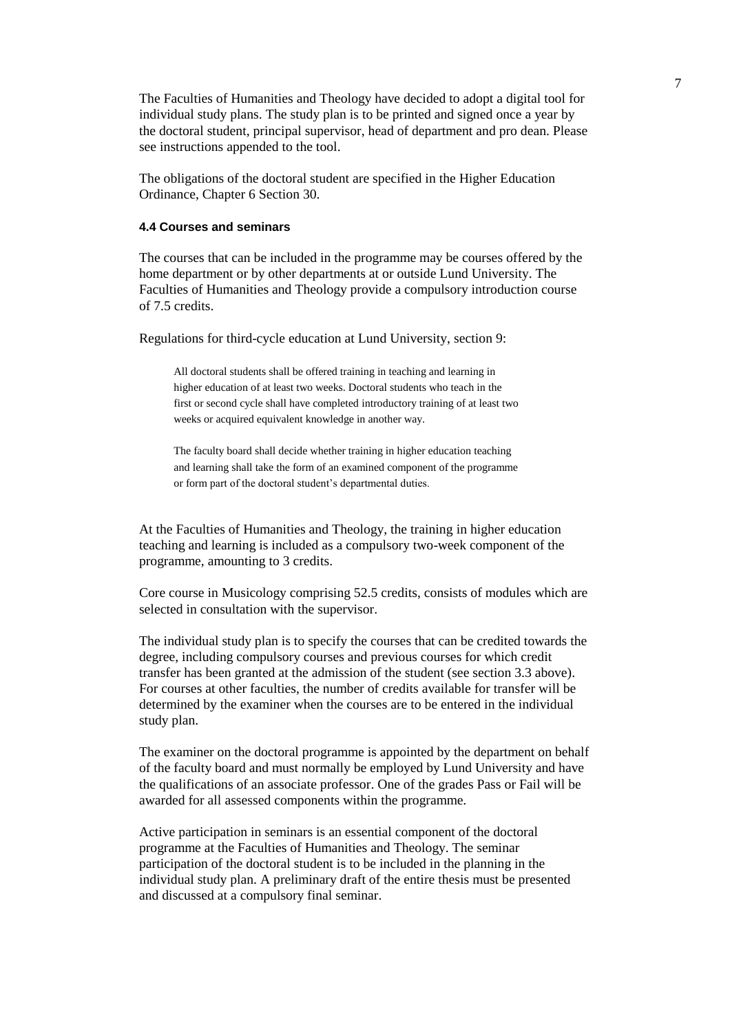The Faculties of Humanities and Theology have decided to adopt a digital tool for individual study plans. The study plan is to be printed and signed once a year by the doctoral student, principal supervisor, head of department and pro dean. Please see instructions appended to the tool.

The obligations of the doctoral student are specified in the Higher Education Ordinance, Chapter 6 Section 30.

## **4.4 Courses and seminars**

The courses that can be included in the programme may be courses offered by the home department or by other departments at or outside Lund University. The Faculties of Humanities and Theology provide a compulsory introduction course of 7.5 credits.

Regulations for third-cycle education at Lund University, section 9:

All doctoral students shall be offered training in teaching and learning in higher education of at least two weeks. Doctoral students who teach in the first or second cycle shall have completed introductory training of at least two weeks or acquired equivalent knowledge in another way.

The faculty board shall decide whether training in higher education teaching and learning shall take the form of an examined component of the programme or form part of the doctoral student's departmental duties.

At the Faculties of Humanities and Theology, the training in higher education teaching and learning is included as a compulsory two-week component of the programme, amounting to 3 credits.

Core course in Musicology comprising 52.5 credits, consists of modules which are selected in consultation with the supervisor.

The individual study plan is to specify the courses that can be credited towards the degree, including compulsory courses and previous courses for which credit transfer has been granted at the admission of the student (see section 3.3 above). For courses at other faculties, the number of credits available for transfer will be determined by the examiner when the courses are to be entered in the individual study plan.

The examiner on the doctoral programme is appointed by the department on behalf of the faculty board and must normally be employed by Lund University and have the qualifications of an associate professor. One of the grades Pass or Fail will be awarded for all assessed components within the programme.

Active participation in seminars is an essential component of the doctoral programme at the Faculties of Humanities and Theology. The seminar participation of the doctoral student is to be included in the planning in the individual study plan. A preliminary draft of the entire thesis must be presented and discussed at a compulsory final seminar.